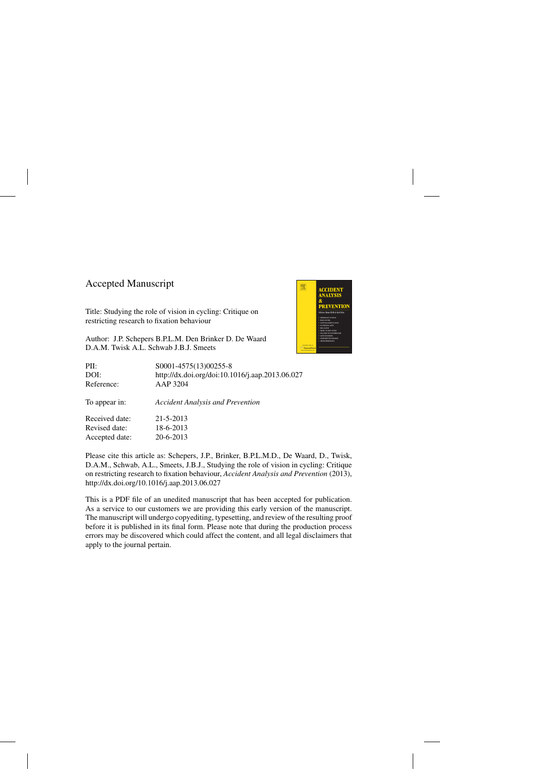## Accepted Manuscript

Title: Studying the role of vision in cycling: Critique on restricting research to fixation behaviour

Author: J.P. Schepers B.P.L.M. Den Brinker D. De Waard D.A.M. Twisk A.L. Schwab J.B.J. Smeets



Please cite this article as: Schepers, J.P., Brinker, B.P.L.M.D., De Waard, D., Twisk, D.A.M., Schwab, A.L., Smeets, J.B.J., Studying the role of vision in cycling: Critique on restricting research to fixation behaviour, *Accident Analysis and Prevention* (2013), <http://dx.doi.org/10.1016/j.aap.2013.06.027>

This is a PDF file of an unedited manuscript that has been accepted for publication. As a service to our customers we are providing this early version of the manuscript. The manuscript will undergo copyediting, typesetting, and review of the resulting proof before it is published in its final form. Please note that during the production process errors may be discovered which could affect the content, and all legal disclaimers that apply to the journal pertain.

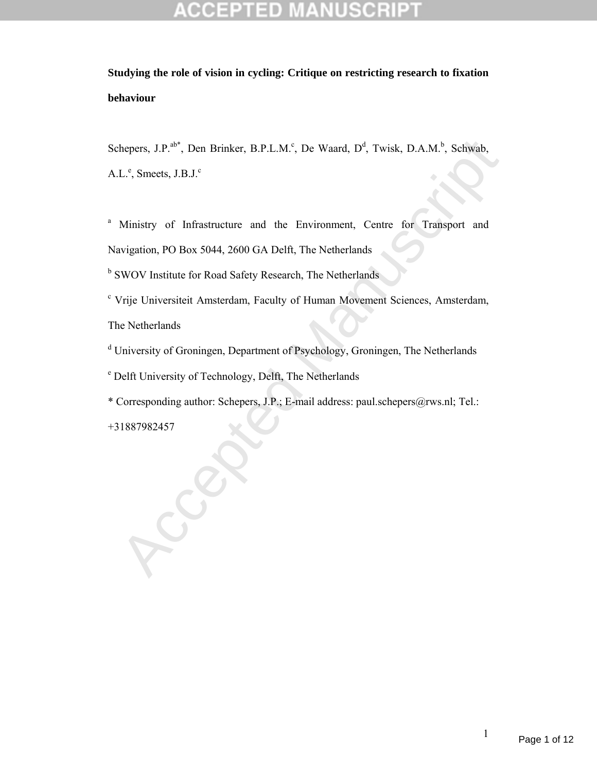hepers, J.P.<sup>abr</sup>, Den Brinker, B.P.L.M.<sup>c</sup>, De Waard, D<sup>d</sup>, Twisk, D.A.M.<sup>b</sup>, Schwab,<br>L.<sup>e</sup>, Smeets, J.B.J.<sup>c</sup><br>Ministry of Infrastructure and the Environment, Centre for Transport and<br>wigation, PO Box 5044, 2600 GA Delft, Schepers, J.P.<sup>ab\*</sup>, Den Brinker, B.P.L.M.<sup>c</sup>, De Waard, D<sup>d</sup>, Twisk, D.A.M.<sup>b</sup>, Schwab,  $A.L.^e$ , Smeets,  $J.B.J.^c$ 

<sup>a</sup> Ministry of Infrastructure and the Environment, Centre for Transport and

Navigation, PO Box 5044, 2600 GA Delft, The Netherlands

<sup>b</sup> SWOV Institute for Road Safety Research, The Netherlands

<sup>c</sup> Vrije Universiteit Amsterdam, Faculty of Human Movement Sciences, Amsterdam, The Netherlands

<sup>d</sup> University of Groningen, Department of Psychology, Groningen, The Netherlands

e Delft University of Technology, Delft, The Netherlands

\* Corresponding author: Schepers, J.P.; E-mail address: paul.schepers@rws.nl; Tel.:

+31887982457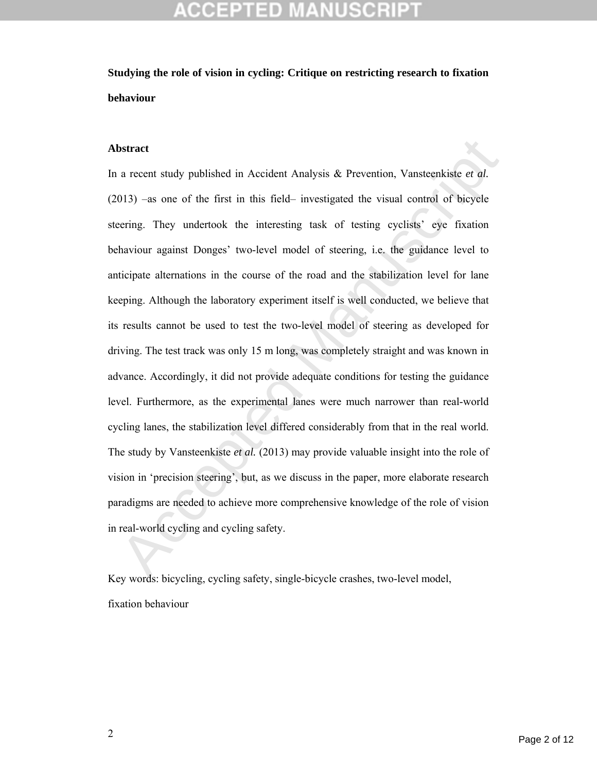### **Abstract**

a recent study published in Accident Analysis & Prevention, Vansteenkiste *et al.* 013) -as one of the first in this field- investigated the visual control of bicycle<br>pering. They undertook the interesting task of testing In a recent study published in Accident Analysis & Prevention, Vansteenkiste *et al.* (2013) –as one of the first in this field– investigated the visual control of bicycle steering. They undertook the interesting task of testing cyclists' eye fixation behaviour against Donges' two-level model of steering, i.e. the guidance level to anticipate alternations in the course of the road and the stabilization level for lane keeping. Although the laboratory experiment itself is well conducted, we believe that its results cannot be used to test the two-level model of steering as developed for driving. The test track was only 15 m long, was completely straight and was known in advance. Accordingly, it did not provide adequate conditions for testing the guidance level. Furthermore, as the experimental lanes were much narrower than real-world cycling lanes, the stabilization level differed considerably from that in the real world. The study by Vansteenkiste *et al.* (2013) may provide valuable insight into the role of vision in 'precision steering', but, as we discuss in the paper, more elaborate research paradigms are needed to achieve more comprehensive knowledge of the role of vision in real-world cycling and cycling safety.

Key words: bicycling, cycling safety, single-bicycle crashes, two-level model, fixation behaviour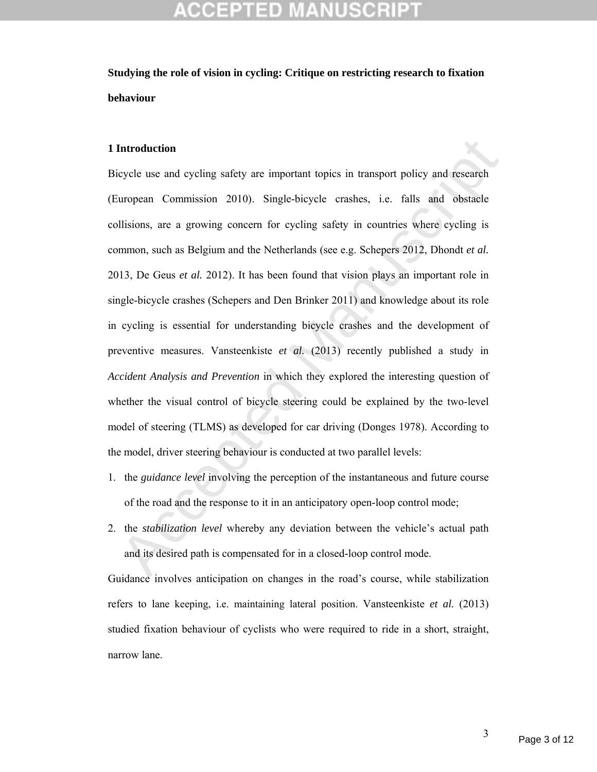### **1 Introduction**

**Introduction**<br>cycle use and cycling safety are important topics in transport policy and research<br>uropean Commission 2010). Single-bicycle crashes, i.e. falls and obstacle<br>llisions, are a growing concern for cycling safet Bicycle use and cycling safety are important topics in transport policy and research (European Commission 2010). Single-bicycle crashes, i.e. falls and obstacle collisions, are a growing concern for cycling safety in countries where cycling is common, such as Belgium and the Netherlands (see e.g. Schepers 2012, Dhondt *et al.* 2013, De Geus *et al.* 2012). It has been found that vision plays an important role in single-bicycle crashes (Schepers and Den Brinker 2011) and knowledge about its role in cycling is essential for understanding bicycle crashes and the development of preventive measures. Vansteenkiste *et al.* (2013) recently published a study in *Accident Analysis and Prevention* in which they explored the interesting question of whether the visual control of bicycle steering could be explained by the two-level model of steering (TLMS) as developed for car driving (Donges 1978). According to the model, driver steering behaviour is conducted at two parallel levels:

- 1. the *guidance level* involving the perception of the instantaneous and future course of the road and the response to it in an anticipatory open-loop control mode;
- 2. the *stabilization level* whereby any deviation between the vehicle's actual path and its desired path is compensated for in a closed-loop control mode.

Guidance involves anticipation on changes in the road's course, while stabilization refers to lane keeping, i.e. maintaining lateral position. Vansteenkiste *et al.* (2013) studied fixation behaviour of cyclists who were required to ride in a short, straight, narrow lane.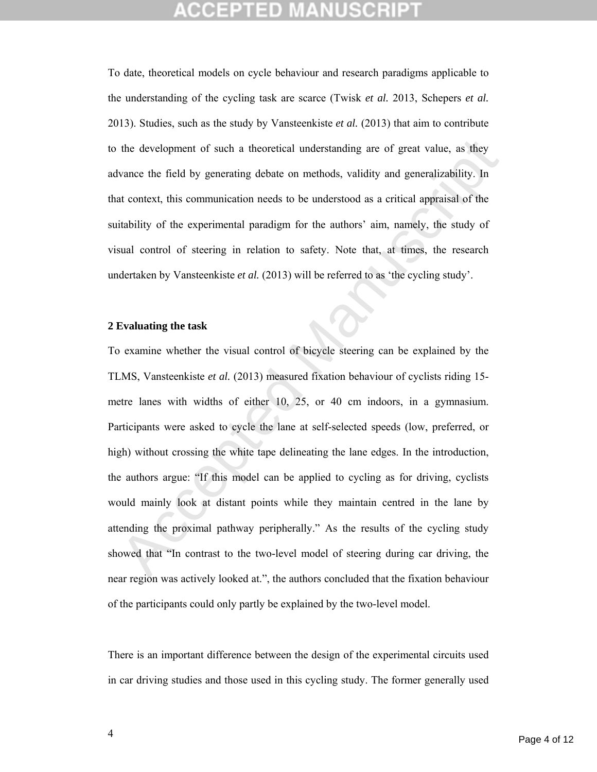To date, theoretical models on cycle behaviour and research paradigms applicable to the understanding of the cycling task are scarce (Twisk *et al.* 2013, Schepers *et al.* 2013). Studies, such as the study by Vansteenkiste *et al.* (2013) that aim to contribute to the development of such a theoretical understanding are of great value, as they advance the field by generating debate on methods, validity and generalizability. In that context, this communication needs to be understood as a critical appraisal of the suitability of the experimental paradigm for the authors' aim, namely, the study of visual control of steering in relation to safety. Note that, at times, the research undertaken by Vansteenkiste *et al.* (2013) will be referred to as 'the cycling study'.

### **2 Evaluating the task**

the development of such a theoretical understanding are of great value, as they<br>vance the field by generating debate on methods, validity and generalizability. In<br>at context, this communication needs to be understood as a To examine whether the visual control of bicycle steering can be explained by the TLMS, Vansteenkiste *et al.* (2013) measured fixation behaviour of cyclists riding 15 metre lanes with widths of either 10, 25, or 40 cm indoors, in a gymnasium. Participants were asked to cycle the lane at self-selected speeds (low, preferred, or high) without crossing the white tape delineating the lane edges. In the introduction, the authors argue: "If this model can be applied to cycling as for driving, cyclists would mainly look at distant points while they maintain centred in the lane by attending the proximal pathway peripherally." As the results of the cycling study showed that "In contrast to the two-level model of steering during car driving, the near region was actively looked at.", the authors concluded that the fixation behaviour of the participants could only partly be explained by the two-level model.

There is an important difference between the design of the experimental circuits used in car driving studies and those used in this cycling study. The former generally used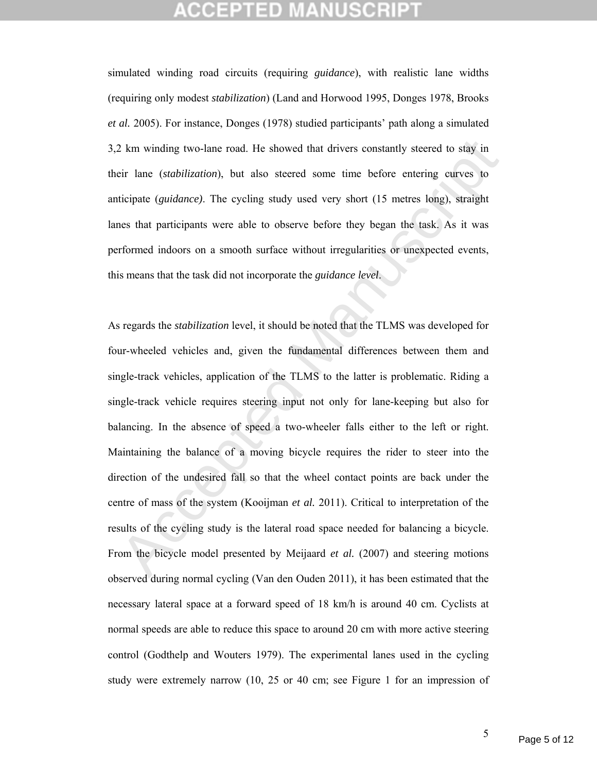simulated winding road circuits (requiring *guidance*), with realistic lane widths (requiring only modest *stabilization*) (Land and Horwood 1995, Donges 1978, Brooks *et al.* 2005). For instance, Donges (1978) studied participants' path along a simulated 3,2 km winding two-lane road. He showed that drivers constantly steered to stay in their lane (*stabilization*), but also steered some time before entering curves to anticipate (*guidance)*. The cycling study used very short (15 metres long), straight lanes that participants were able to observe before they began the task. As it was performed indoors on a smooth surface without irregularities or unexpected events, this means that the task did not incorporate the *guidance level*.

2 km winding two-lane road. He showed that drivers constantly steered to stay in<br>eir lane (*stabilization*), but also steered some time before entering curves to<br>ticipate (*guidance*). The cycling study used very short (1 As regards the *stabilization* level, it should be noted that the TLMS was developed for four-wheeled vehicles and, given the fundamental differences between them and single-track vehicles, application of the TLMS to the latter is problematic. Riding a single-track vehicle requires steering input not only for lane-keeping but also for balancing. In the absence of speed a two-wheeler falls either to the left or right. Maintaining the balance of a moving bicycle requires the rider to steer into the direction of the undesired fall so that the wheel contact points are back under the centre of mass of the system (Kooijman *et al.* 2011). Critical to interpretation of the results of the cycling study is the lateral road space needed for balancing a bicycle. From the bicycle model presented by Meijaard *et al.* (2007) and steering motions observed during normal cycling (Van den Ouden 2011), it has been estimated that the necessary lateral space at a forward speed of 18 km/h is around 40 cm. Cyclists at normal speeds are able to reduce this space to around 20 cm with more active steering control (Godthelp and Wouters 1979). The experimental lanes used in the cycling study were extremely narrow (10, 25 or 40 cm; see Figure 1 for an impression of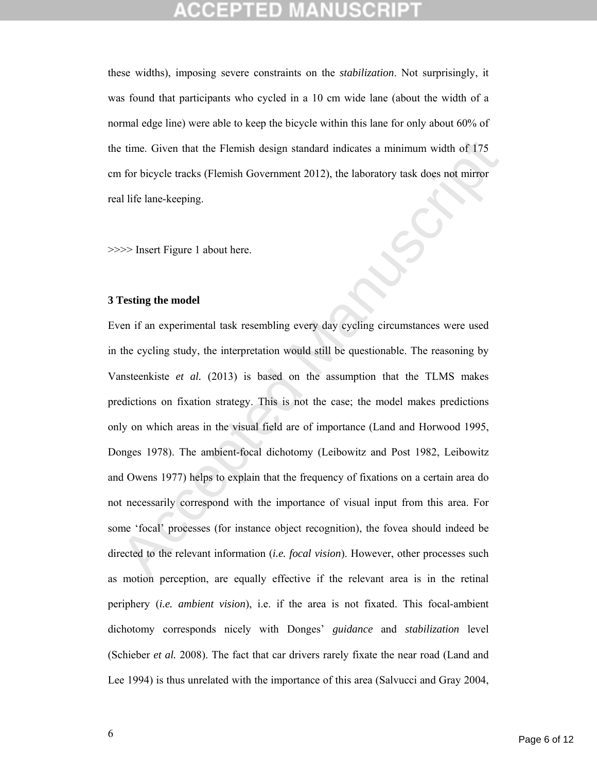these widths), imposing severe constraints on the *stabilization*. Not surprisingly, it was found that participants who cycled in a 10 cm wide lane (about the width of a normal edge line) were able to keep the bicycle within this lane for only about 60% of the time. Given that the Flemish design standard indicates a minimum width of 175 cm for bicycle tracks (Flemish Government 2012), the laboratory task does not mirror real life lane-keeping.

>>>> Insert Figure 1 about here.

### **3 Testing the model**

the time. Given that the Flemish design standard indicates a minimum width of 175<br>
a for bicycle tracks (Flemish Government 2012), the laboratory task does not mirror<br>
al life lane-keeping.<br>
<br>
<br>
The late-keeping model<br>
<br> Even if an experimental task resembling every day cycling circumstances were used in the cycling study, the interpretation would still be questionable. The reasoning by Vansteenkiste *et al.* (2013) is based on the assumption that the TLMS makes predictions on fixation strategy. This is not the case; the model makes predictions only on which areas in the visual field are of importance (Land and Horwood 1995, Donges 1978). The ambient-focal dichotomy (Leibowitz and Post 1982, Leibowitz and Owens 1977) helps to explain that the frequency of fixations on a certain area do not necessarily correspond with the importance of visual input from this area. For some 'focal' processes (for instance object recognition), the fovea should indeed be directed to the relevant information (*i.e. focal vision*). However, other processes such as motion perception, are equally effective if the relevant area is in the retinal periphery (*i.e. ambient vision*), i.e. if the area is not fixated. This focal-ambient dichotomy corresponds nicely with Donges' *guidance* and *stabilization* level (Schieber *et al.* 2008). The fact that car drivers rarely fixate the near road (Land and Lee 1994) is thus unrelated with the importance of this area (Salvucci and Gray 2004,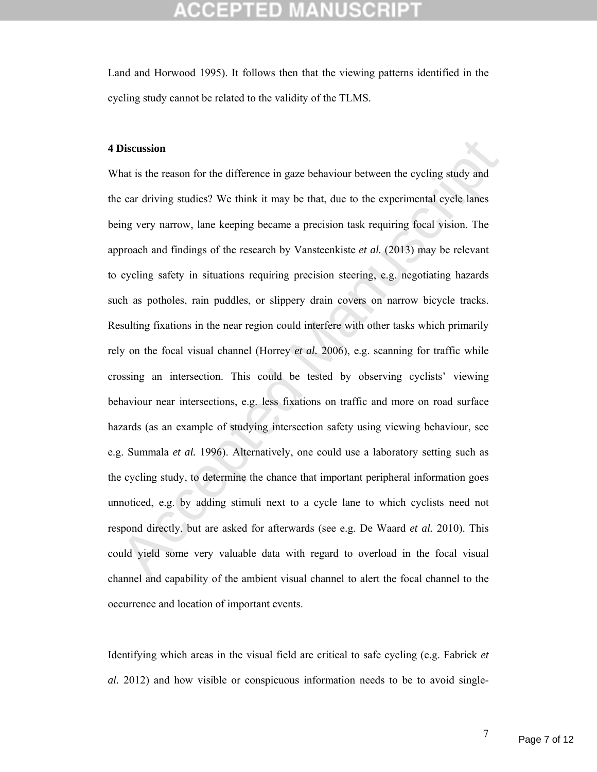Land and Horwood 1995). It follows then that the viewing patterns identified in the cycling study cannot be related to the validity of the TLMS.

### **4 Discussion**

**Discussion**<br> **Discussion**<br> **Contains the reason for the difference in gaze behaviour between the cycling study and<br>
e car driving studies? We think it may be that, due to the experimental cycle lanes<br>
img very narrow, la** What is the reason for the difference in gaze behaviour between the cycling study and the car driving studies? We think it may be that, due to the experimental cycle lanes being very narrow, lane keeping became a precision task requiring focal vision. The approach and findings of the research by Vansteenkiste *et al.* (2013) may be relevant to cycling safety in situations requiring precision steering, e.g. negotiating hazards such as potholes, rain puddles, or slippery drain covers on narrow bicycle tracks. Resulting fixations in the near region could interfere with other tasks which primarily rely on the focal visual channel (Horrey *et al.* 2006), e.g. scanning for traffic while crossing an intersection. This could be tested by observing cyclists' viewing behaviour near intersections, e.g. less fixations on traffic and more on road surface hazards (as an example of studying intersection safety using viewing behaviour, see e.g. Summala *et al.* 1996). Alternatively, one could use a laboratory setting such as the cycling study, to determine the chance that important peripheral information goes unnoticed, e.g. by adding stimuli next to a cycle lane to which cyclists need not respond directly, but are asked for afterwards (see e.g. De Waard *et al.* 2010). This could yield some very valuable data with regard to overload in the focal visual channel and capability of the ambient visual channel to alert the focal channel to the occurrence and location of important events.

Identifying which areas in the visual field are critical to safe cycling (e.g. Fabriek *et al.* 2012) and how visible or conspicuous information needs to be to avoid single-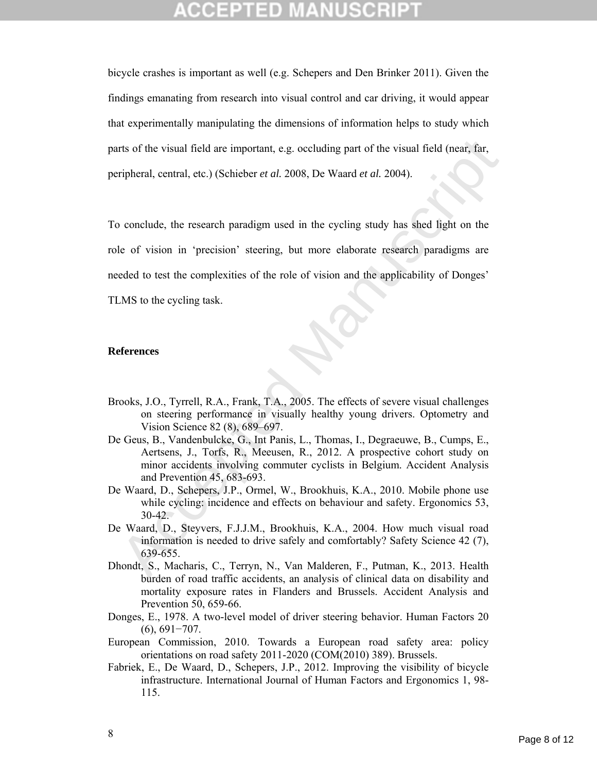bicycle crashes is important as well (e.g. Schepers and Den Brinker 2011). Given the findings emanating from research into visual control and car driving, it would appear that experimentally manipulating the dimensions of information helps to study which parts of the visual field are important, e.g. occluding part of the visual field (near, far, peripheral, central, etc.) (Schieber *et al.* 2008, De Waard *et al.* 2004).

Accepted Manuscript To conclude, the research paradigm used in the cycling study has shed light on the role of vision in 'precision' steering, but more elaborate research paradigms are needed to test the complexities of the role of vision and the applicability of Donges' TLMS to the cycling task.

### **References**

- Brooks, J.O., Tyrrell, R.A., Frank, T.A., 2005. The effects of severe visual challenges on steering performance in visually healthy young drivers. Optometry and Vision Science 82 (8), 689–697.
- De Geus, B., Vandenbulcke, G., Int Panis, L., Thomas, I., Degraeuwe, B., Cumps, E., Aertsens, J., Torfs, R., Meeusen, R., 2012. A prospective cohort study on minor accidents involving commuter cyclists in Belgium. Accident Analysis and Prevention 45, 683-693.
- De Waard, D., Schepers, J.P., Ormel, W., Brookhuis, K.A., 2010. Mobile phone use while cycling: incidence and effects on behaviour and safety. Ergonomics 53, 30-42.
- De Waard, D., Steyvers, F.J.J.M., Brookhuis, K.A., 2004. How much visual road information is needed to drive safely and comfortably? Safety Science 42 (7), 639-655.
- Dhondt, S., Macharis, C., Terryn, N., Van Malderen, F., Putman, K., 2013. Health burden of road traffic accidents, an analysis of clinical data on disability and mortality exposure rates in Flanders and Brussels. Accident Analysis and Prevention 50, 659-66.
- Donges, E., 1978. A two-level model of driver steering behavior. Human Factors 20 (6), 691−707.
- European Commission, 2010. Towards a European road safety area: policy orientations on road safety 2011-2020 (COM(2010) 389). Brussels.
- Fabriek, E., De Waard, D., Schepers, J.P., 2012. Improving the visibility of bicycle infrastructure. International Journal of Human Factors and Ergonomics 1, 98- 115.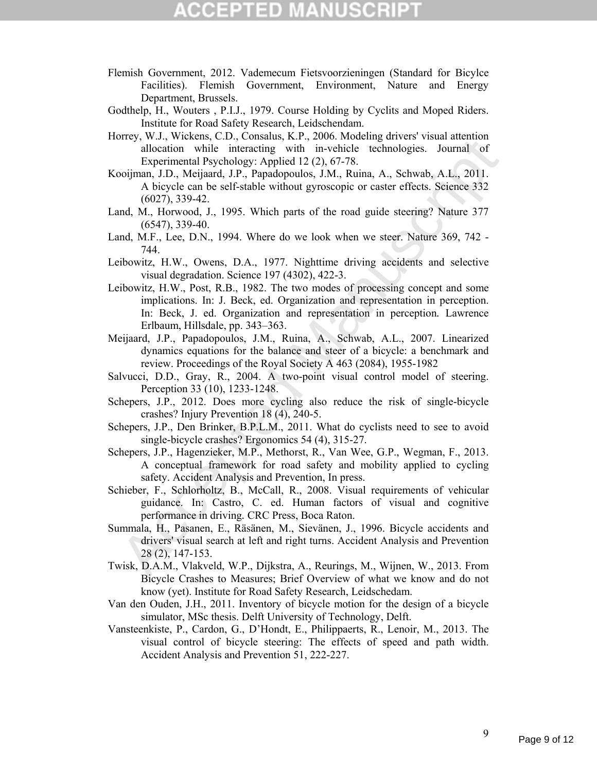- Flemish Government, 2012. Vademecum Fietsvoorzieningen (Standard for Bicylce Facilities). Flemish Government, Environment, Nature and Energy Department, Brussels.
- Godthelp, H., Wouters , P.I.J., 1979. Course Holding by Cyclits and Moped Riders. Institute for Road Safety Research, Leidschendam.
- Horrey, W.J., Wickens, C.D., Consalus, K.P., 2006. Modeling drivers' visual attention allocation while interacting with in-vehicle technologies. Journal of Experimental Psychology: Applied 12 (2), 67-78.
- Kooijman, J.D., Meijaard, J.P., Papadopoulos, J.M., Ruina, A., Schwab, A.L., 2011. A bicycle can be self-stable without gyroscopic or caster effects. Science 332 (6027), 339-42.
- Land, M., Horwood, J., 1995. Which parts of the road guide steering? Nature 377 (6547), 339-40.
- Land, M.F., Lee, D.N., 1994. Where do we look when we steer. Nature 369, 742 744.
- Leibowitz, H.W., Owens, D.A., 1977. Nighttime driving accidents and selective visual degradation. Science 197 (4302), 422-3.
- May, Warkins, C.D., Constant, M., 2000. Matomatic is visual attention with interacting with in-vehicle technologies. Journal of Experimental Psychology: Applied 12(2), 67-78.<br>
(6027), 339-42.<br>
(6027), 339-42.<br>
(6027), 339-Leibowitz, H.W., Post, R.B., 1982. The two modes of processing concept and some implications. In: J. Beck, ed. Organization and representation in perception. In: Beck, J. ed. Organization and representation in perception*.* Lawrence Erlbaum, Hillsdale, pp. 343–363.
- Meijaard, J.P., Papadopoulos, J.M., Ruina, A., Schwab, A.L., 2007. Linearized dynamics equations for the balance and steer of a bicycle: a benchmark and review. Proceedings of the Royal Society A 463 (2084), 1955-1982
- Salvucci, D.D., Gray, R., 2004. A two-point visual control model of steering. Perception 33 (10), 1233-1248.
- Schepers, J.P., 2012. Does more cycling also reduce the risk of single-bicycle crashes? Injury Prevention 18 (4), 240-5.
- Schepers, J.P., Den Brinker, B.P.L.M., 2011. What do cyclists need to see to avoid single-bicycle crashes? Ergonomics 54 (4), 315-27.
- Schepers, J.P., Hagenzieker, M.P., Methorst, R., Van Wee, G.P., Wegman, F., 2013. A conceptual framework for road safety and mobility applied to cycling safety. Accident Analysis and Prevention, In press.
- Schieber, F., Schlorholtz, B., McCall, R., 2008. Visual requirements of vehicular guidance. In: Castro, C. ed. Human factors of visual and cognitive performance in driving*.* CRC Press, Boca Raton.
- Summala, H., Pasanen, E., Räsänen, M., Sievänen, J., 1996. Bicycle accidents and drivers' visual search at left and right turns. Accident Analysis and Prevention 28 (2), 147-153.
- Twisk, D.A.M., Vlakveld, W.P., Dijkstra, A., Reurings, M., Wijnen, W., 2013. From Bicycle Crashes to Measures; Brief Overview of what we know and do not know (yet). Institute for Road Safety Research, Leidschedam.
- Van den Ouden, J.H., 2011. Inventory of bicycle motion for the design of a bicycle simulator, MSc thesis. Delft University of Technology, Delft.
- Vansteenkiste, P., Cardon, G., D'Hondt, E., Philippaerts, R., Lenoir, M., 2013. The visual control of bicycle steering: The effects of speed and path width. Accident Analysis and Prevention 51, 222-227.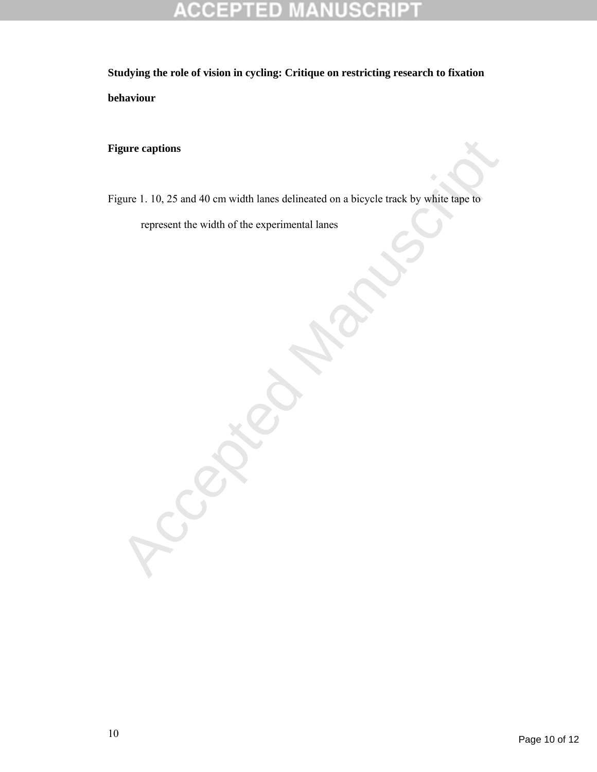### R D P 0

**Studying the role of vision in cycling: Critique on restricting research to fixation behaviour** 

**Figure captions** 

gure captions<br>gure 1, 10, 25 and 40 cm width lanes delineated on a bicycle track by white tape to<br>represent the width of the experimental lanes<br>and the structure of the structure of the structure of the structure of the st Figure 1. 10, 25 and 40 cm width lanes delineated on a bicycle track by white tape to

represent the width of the experimental lanes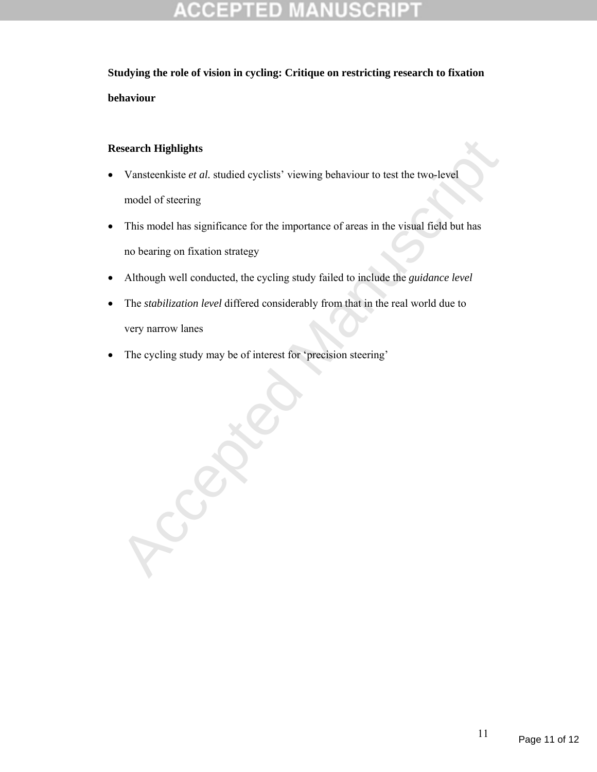## **Research Highlights**

- Vansteenkiste *et al.* studied cyclists' viewing behaviour to test the two-level model of steering
- This model has significance for the importance of areas in the visual field but has no bearing on fixation strategy
- Although well conducted, the cycling study failed to include the *guidance level*
- The *stabilization level* differed considerably from that in the real world due to very narrow lanes
- The cycling study may be of interest for 'precision steering'

Ccepted Manuscript